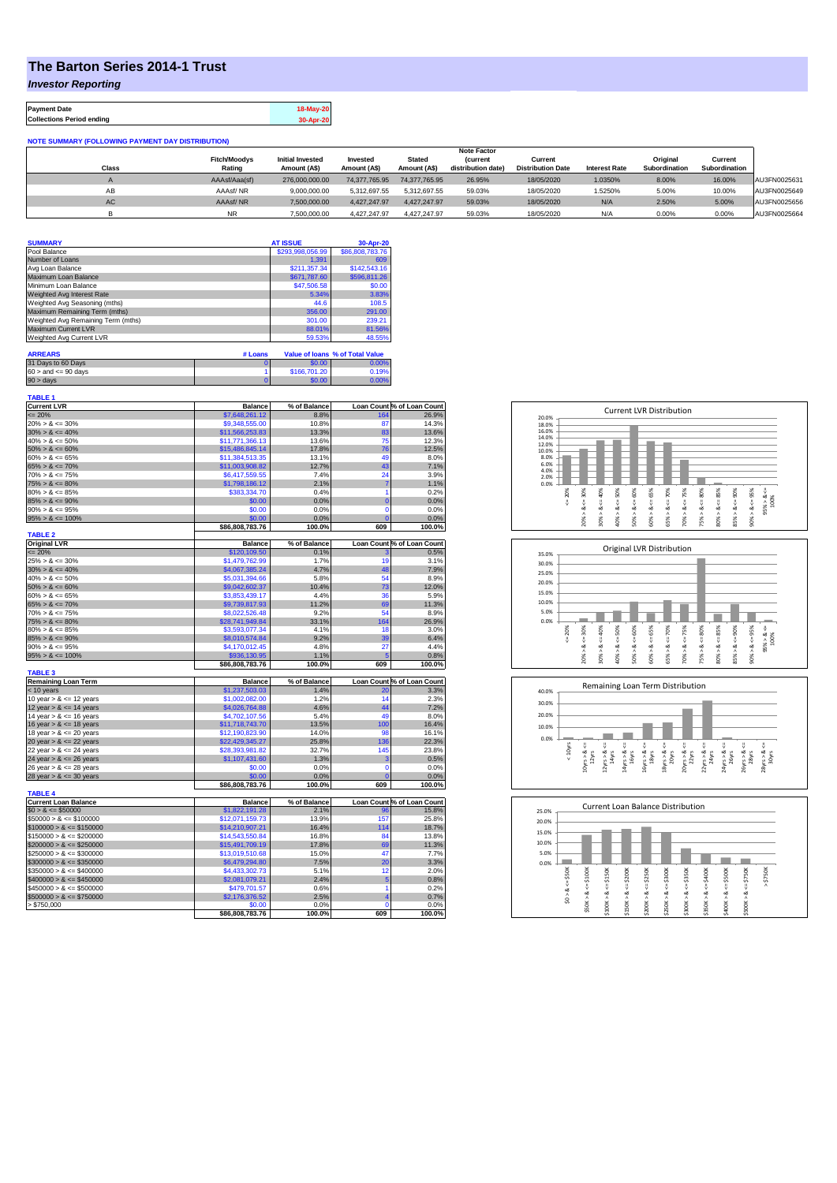## **The Barton Series 2014-1 Trust**

*Investor Reporting*

**Payment Date 18-May-20 Collections Period ending 30-Apr-20**

| <b>NOTE SUMMARY (FOLLOWING PAYMENT DAY DISTRIBUTION)</b> |                               |                                         |                          |                               |                                |                                     |                      |                           |                          |              |
|----------------------------------------------------------|-------------------------------|-----------------------------------------|--------------------------|-------------------------------|--------------------------------|-------------------------------------|----------------------|---------------------------|--------------------------|--------------|
|                                                          | <b>Note Factor</b>            |                                         |                          |                               |                                |                                     |                      |                           |                          |              |
| Class                                                    | <b>Fitch/Moodvs</b><br>Rating | <b>Initial Invested</b><br>Amount (A\$) | Invested<br>Amount (A\$) | <b>Stated</b><br>Amount (A\$) | (current<br>distribution date) | Current<br><b>Distribution Date</b> | <b>Interest Rate</b> | Original<br>Subordination | Current<br>Subordination |              |
|                                                          |                               |                                         |                          |                               |                                |                                     |                      |                           |                          |              |
|                                                          | AAAsf/Aaa(sf)                 | 276,000,000.00                          | 74,377,765.95            | 74.377.765.95                 | 26.95%                         | 18/05/2020                          | 1.0350%              | 8.00%                     | 16.00%                   | AU3FN0025631 |
| AB                                                       | AAAsf/NR                      | 9.000.000.00                            | 5.312.697.55             | 5.312.697.55                  | 59.03%                         | 18/05/2020                          | 1.5250%              | 5.00%                     | 10.00%                   | AU3FN0025649 |
| AC.                                                      | AAAsf/NR                      | 7,500,000.00                            | 4.427.247.97             | 4.427.247.97                  | 59.03%                         | 18/05/2020                          | N/A                  | 2.50%                     | 5.00%                    | AU3FN0025656 |
|                                                          | <b>NR</b>                     | 7.500.000.00                            | 4.427.247.97             | 4.427.247.97                  | 59.03%                         | 18/05/2020                          | N/A                  | 0.00%                     | 0.00%                    | AU3FN0025664 |

| <b>SUMMARY</b>                     | <b>AT ISSUE</b>  | 30-Apr-20       |
|------------------------------------|------------------|-----------------|
| Pool Balance                       | \$293,998,056.99 | \$86,808,783.76 |
| Number of Loans                    | 1.391            | 609             |
| Avg Loan Balance                   | \$211,357.34     | \$142,543.16    |
| Maximum Loan Balance               | \$671,787.60     | \$596,811.26    |
| Minimum Loan Balance               | \$47,506.58      | \$0.00          |
| Weighted Avg Interest Rate         | 5.34%            | 3.83%           |
| Weighted Avg Seasoning (mths)      | 44.6             | 108.5           |
| Maximum Remaining Term (mths)      | 356.00           | 291.00          |
| Weighted Avg Remaining Term (mths) | 301.00           | 239.21          |
| Maximum Current LVR                | 88.01%           | 81.56%          |
| Weighted Avg Current LVR           | 59.53%           | 48.55%          |

| <b>ARREARS</b>            | # Loans |              | Value of Joans % of Total Value |
|---------------------------|---------|--------------|---------------------------------|
| 31 Days to 60 Days        |         | \$0.00       | 0.00%                           |
| $60 >$ and $\leq 90$ days |         | \$166,701.20 | 0.19%                           |
| $90 > \text{days}$        |         | \$0.00       | $0.00\%$                        |

| TABLE 1                     |                           |                |                       |                            |
|-----------------------------|---------------------------|----------------|-----------------------|----------------------------|
| <b>Current LVR</b>          | <b>Balance</b>            | % of Balance   |                       | Loan Count % of Loan Count |
| $= 20%$                     | \$7,648,261.12            | 8.8%           | 164                   | 26.9%                      |
| $20\% > 8 \le 30\%$         | \$9,348,555.00            | 10.8%          | 87                    | 14.3%                      |
| $30\% > 8 \le 40\%$         | \$11,566,253.83           | 13.3%          | 83                    | 13.6%                      |
| $40\% > 8 \le 50\%$         | \$11,771,366.13           | 13.6%          | 75                    | 12.3%                      |
| $50\% > 8 \le 60\%$         | \$15,486,845.14           | 17.8%          | 76                    | 12.5%                      |
| $60\% > 8 \le 65\%$         | \$11,384,513.35           | 13.1%          | 49                    | 8.0%                       |
| $65\% > 8 \le 70\%$         | \$11,003,908.82           | 12.7%          | 43                    | 7.1%                       |
| $70\% > 8 \le 75\%$         | \$6,417,559.55            | 7.4%           | 24                    | 3.9%                       |
| $75\% > 8 \le 80\%$         | \$1,798,186.12            | 2.1%           | $\overline{7}$        | 1.1%                       |
| $80\% > 8 \le 85\%$         | \$383,334.70              | 0.4%           | 1                     | 0.2%                       |
| $85\% > 8 \le 90\%$         | \$0.00                    | 0.0%           | $\overline{0}$        | 0.0%                       |
|                             |                           |                | $\overline{0}$        |                            |
| $90\% > 8 \le 95\%$         | \$0.00                    | 0.0%           |                       | 0.0%                       |
| $95\% > 8 \le 100\%$        | \$0.00<br>\$86,808,783.76 | 0.0%<br>100.0% | $\overline{0}$<br>609 | 0.0%<br>100.0%             |
| <b>TABLE 2</b>              |                           |                |                       |                            |
| <b>Original LVR</b>         | <b>Balance</b>            | % of Balance   |                       | Loan Count % of Loan Count |
| $= 20%$                     | \$120,109.50              |                |                       |                            |
|                             |                           | 0.1%           |                       | 0.5%                       |
| $25\% > 8 \le 30\%$         | \$1,479,762.99            | 1.7%           | 19                    | 3.1%                       |
| $30\% > 8 \le 40\%$         | \$4,067,385.24            | 4.7%           | 48                    | 7.9%                       |
| $40\% > 8 \le 50\%$         | \$5,031,394.66            | 5.8%           | 54                    | 8.9%                       |
| $50\% > 8 \le 60\%$         | \$9,042,602.37            | 10.4%          | 73                    | 12.0%                      |
| $60\% > 8 \le 65\%$         | \$3,853,439.17            | 4.4%           | 36                    | 5.9%                       |
| $65\% > 8 \le 70\%$         | \$9,739,817.93            | 11.2%          | 69                    | 11.3%                      |
| $70\% > 8 \le 75\%$         | \$8,022,526.48            | 9.2%           | 54                    | 8.9%                       |
| $75\% > 8 \le 80\%$         | \$28,741,949.84           | 33.1%          | 164                   | 26.9%                      |
| $80\% > 8 \le 85\%$         | \$3,593,077.34            | 4.1%           | 18                    | 3.0%                       |
| $85\% > 8 \le 90\%$         | \$8,010,574.84            | 9.2%           | 39                    | 6.4%                       |
| $90\% > 8 \le 95\%$         | \$4,170,012.45            | 4.8%           | 27                    | 4.4%                       |
| $95\% > 8 \le 100\%$        | \$936,130.95              | 1.1%           | 5                     | 0.8%                       |
|                             | \$86,808,783.76           | 100.0%         | 609                   | 100.0%                     |
| <b>TABLE 3</b>              |                           |                |                       |                            |
| <b>Remaining Loan Term</b>  | <b>Balance</b>            | % of Balance   |                       | Loan Count % of Loan Count |
| $<$ 10 years                | \$1,237,503.03            | 1.4%           | 20                    | 3.3%                       |
| 10 year $> 8 \le 12$ years  | \$1,002,082,00            | 1.2%           | 14                    | 2.3%                       |
| 12 year $> 8 \le 14$ years  | \$4,026,764.88            | 4.6%           | 44                    | 7.2%                       |
| 14 year $> 8 \le 16$ years  | \$4,702,107.56            | 5.4%           | 49                    | 8.0%                       |
| 16 year $> 8 \le 18$ years  | \$11,718,743.70           | 13.5%          | 100                   | 16.4%                      |
| 18 year $> 8 \le 20$ years  | \$12,190,823.90           | 14.0%          | 98                    | 16.1%                      |
|                             |                           | 25.8%          | 136                   | 22.3%                      |
| 20 year $> 8 \le 22$ years  | \$22,429,345.27           |                |                       |                            |
| 22 year $> 8 \le 24$ years  | \$28,393,981.82           | 32.7%          | 145                   | 23.8%                      |
| 24 year $> 8 \le 26$ years  | \$1,107,431.60            | 1.3%           | 3                     | 0.5%                       |
| 26 year $> 8 \le 28$ years  | \$0.00                    | 0.0%           | $\mathbf 0$           | 0.0%                       |
| 28 year $> 8 \le 30$ years  | \$0.00                    | 0.0%           | $\overline{0}$        | 0.0%                       |
|                             | \$86,808,783.76           | 100.0%         | 609                   | 100.0%                     |
| <b>TABLE 4</b>              |                           |                |                       |                            |
| <b>Current Loan Balance</b> | <b>Balance</b>            | % of Balance   |                       | Loan Count % of Loan Count |
| $$0 > 8 \le $50000$         | \$1,822,191.28            | 2.1%           | 96                    | 15.8%                      |
| $$50000 > 8 \le $100000$    | \$12,071,159.73           | 13.9%          | 157                   | 25.8%                      |
| $$100000 > 8 \le $150000$   | \$14,210,907.21           | 16.4%          | 114                   | 18.7%                      |
| $$150000 > 8 \le $200000$   | \$14,543,550.84           | 16.8%          | 84                    | 13.8%                      |
| $$200000 > 8 \leq $250000$  | \$15,491,709.19           | 17.8%          | 69                    | 11.3%                      |
| $$250000 > 8 \leq $300000$  | \$13,019,510.68           | 15.0%          | 47                    | 7.7%                       |
| $$300000 > 8 \leq $350000$  | \$6,479,294.80            | 7.5%           | 20                    | 3.3%                       |
| $$350000 > 8 \le $400000$   | \$4,433,302.73            | 5.1%           | 12                    | 2.0%                       |
| $$400000 > 8 \leq $450000$  | \$2,081,079.21            | 2.4%           | 5                     | 0.8%                       |
| $$450000 > 8 \leq $500000$  | \$479,701.57              | 0.6%           | 1                     | 0.2%                       |
| $$500000 > 8 \leq $750000$  | \$2,176,376.52            | 2.5%           | 4                     | 0.7%                       |
|                             |                           |                |                       |                            |
|                             |                           |                |                       |                            |
| > \$750,000                 | \$0.00<br>\$86,808,783.76 | 0.0%<br>100.0% | $\Omega$<br>609       | 0.0%<br>100.0%             |







| 25.0% |            |        | Current Loan Balance Distribution |         |        |         |        |         |        |         |          |  |
|-------|------------|--------|-----------------------------------|---------|--------|---------|--------|---------|--------|---------|----------|--|
| 20.0% |            |        |                                   |         |        |         |        |         |        |         |          |  |
| 15.0% |            |        |                                   |         |        |         |        |         |        |         |          |  |
| 10.0% |            |        |                                   |         |        |         |        |         |        |         |          |  |
| 5.0%  |            |        |                                   |         |        |         |        |         |        |         |          |  |
| 0.0%  |            |        |                                   |         |        |         |        |         |        |         |          |  |
|       | \$50K      | \$100K | \$150K                            | \$200K  | \$250K | \$300K  | \$350K | \$400K  | \$500K | \$750K  | \$750K   |  |
|       | U          |        |                                   |         |        |         |        |         |        |         | $\wedge$ |  |
|       | ಹ          | 8 <    | œ                                 | IJ<br>ಹ | œ      | œ       | œ      | œ       | œ      | œ       |          |  |
|       | $\hat{50}$ |        | ٨                                 |         | Λ      |         | ٨      |         | ٨      |         |          |  |
|       |            | \$50K> | \$100K                            | \$150K> | \$200K | \$250K> | \$300K | \$350K> | \$400K | \$500K> |          |  |